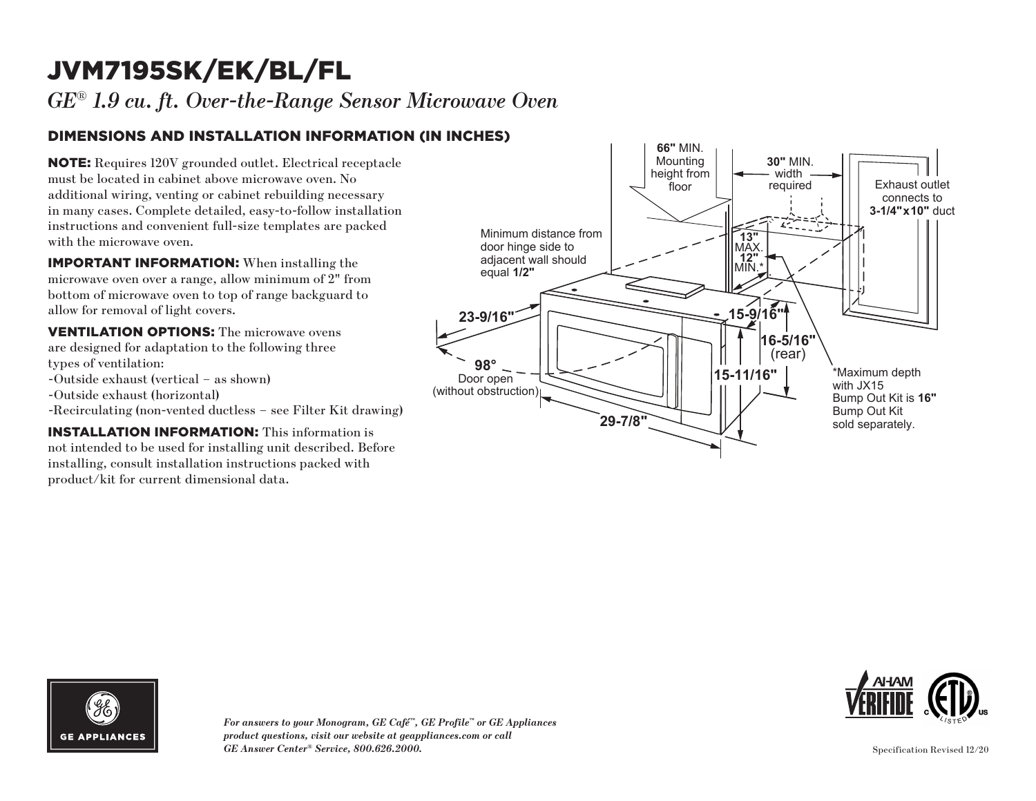# JVM7195SK/EK/BL/FL

*GE*® *1.9 cu. ft. Over-the-Range Sensor Microwave Oven*

### DIMENSIONS AND INSTALLATION INFORMATION (IN INCHES)

NOTE: Requires 120V grounded outlet. Electrical receptacle must be located in cabinet above microwave oven. No additional wiring, venting or cabinet rebuilding necessary in many cases. Complete detailed, easy-to-follow installation instructions and convenient full-size templates are packed with the microwave oven.

IMPORTANT INFORMATION: When installing the microwave oven over a range, allow minimum of 2" from bottom of microwave oven to top of range backguard to allow for removal of light covers.

VENTILATION OPTIONS: The microwave ovens are designed for adaptation to the following three types of ventilation: -Outside exhaust (vertical – as shown)

-Outside exhaust (horizontal)

-Recirculating (non-vented ductless – see Filter Kit drawing)

INSTALLATION INFORMATION: This information is not intended to be used for installing unit described. Before installing, consult installation instructions packed with product/kit for current dimensional data.





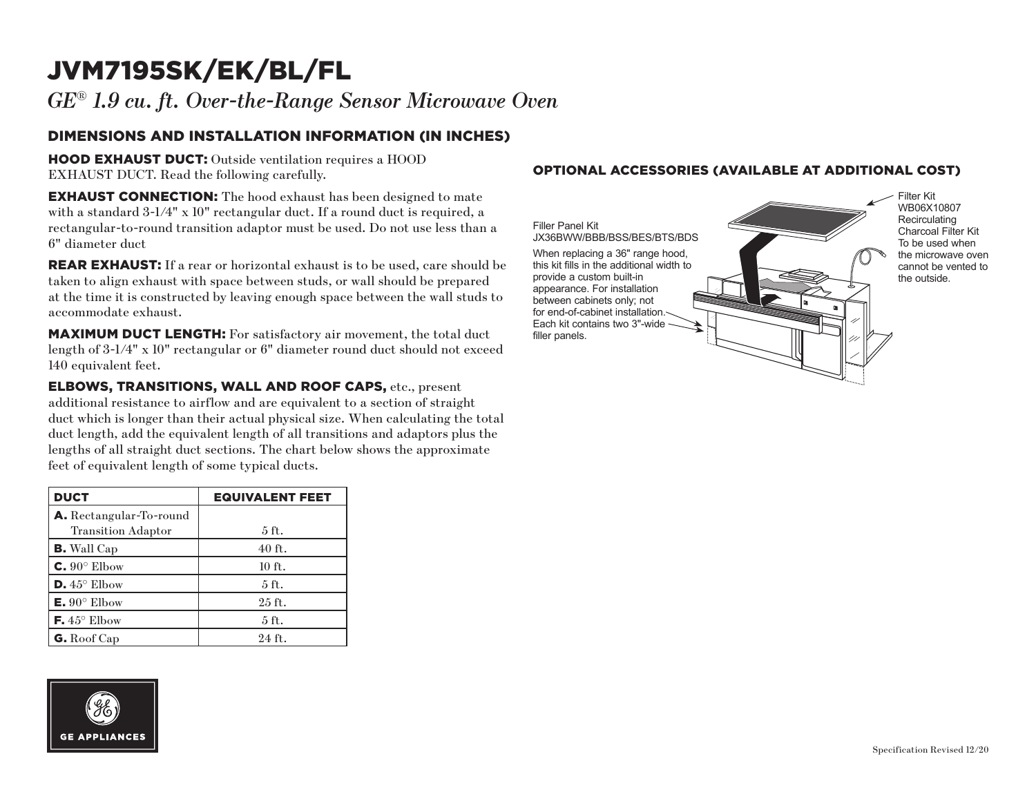## JVM7195SK/EK/BL/FL

*GE*® *1.9 cu. ft. Over-the-Range Sensor Microwave Oven*

### DIMENSIONS AND INSTALLATION INFORMATION (IN INCHES)

HOOD EXHAUST DUCT: Outside ventilation requires a HOOD EXHAUST DUCT. Read the following carefully.

**EXHAUST CONNECTION:** The hood exhaust has been designed to mate with a standard 3-1/4" x 10" rectangular duct. If a round duct is required, a rectangular-to-round transition adaptor must be used. Do not use less than a 6" diameter duct

**REAR EXHAUST:** If a rear or horizontal exhaust is to be used, care should be taken to align exhaust with space between studs, or wall should be prepared at the time it is constructed by leaving enough space between the wall studs to accommodate exhaust.

MAXIMUM DUCT LENGTH: For satisfactory air movement, the total duct length of 3-1/4" x 10" rectangular or 6" diameter round duct should not exceed 140 equivalent feet.

ELBOWS, TRANSITIONS, WALL AND ROOF CAPS, etc., present additional resistance to airflow and are equivalent to a section of straight duct which is longer than their actual physical size. When calculating the total duct length, add the equivalent length of all transitions and adaptors plus the lengths of all straight duct sections. The chart below shows the approximate feet of equivalent length of some typical ducts.

| <b>DUCT</b>                    | <b>EQUIVALENT FEET</b> |
|--------------------------------|------------------------|
| <b>A.</b> Rectangular-To-round |                        |
| <b>Transition Adaptor</b>      | 5 ft.                  |
| <b>B.</b> Wall Cap             | $40$ ft.               |
| $C. 90^\circ$ Elbow            | $10$ ft.               |
| $D.45^{\circ}$ Elbow           | $5$ ft.                |
| $E. 90^{\circ}$ Elbow          | $25$ ft.               |
| <b>F.</b> $45^{\circ}$ Elbow   | 5 <sub>ft</sub>        |
| G. Roof Cap                    | $24$ ft.               |

# **GE APPLIANCES**

#### OPTIONAL ACCESSORIES (AVAILABLE AT ADDITIONAL COST)